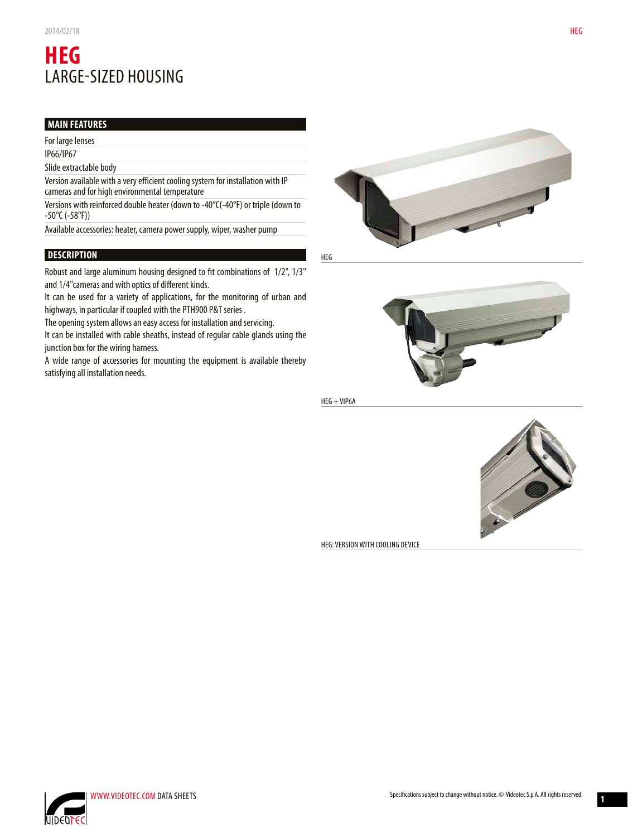# **HEG** LARGE-SIZED HOUSING

# **MAIN FEATURES**

For large lenses

IP66/IP67

Slide extractable body

Version available with a very efficient cooling system for installation with IP cameras and for high environmental temperature

Versions with reinforced double heater (down to -40°C(-40°F) or triple (down to -50°C (-58°F))

Available accessories: heater, camera power supply, wiper, washer pump

# **DESCRIPTION**

Robust and large aluminum housing designed to fit combinations of 1/2", 1/3" and 1/4"cameras and with optics of different kinds.

It can be used for a variety of applications, for the monitoring of urban and highways, in particular if coupled with the PTH900 P&T series .

The opening system allows an easy access for installation and servicing.

It can be installed with cable sheaths, instead of regular cable glands using the junction box for the wiring harness.

A wide range of accessories for mounting the equipment is available thereby satisfying all installation needs.



HEG



HEG + VIP6A



HEG: VERSION WITH COOLING DEVICE





**1**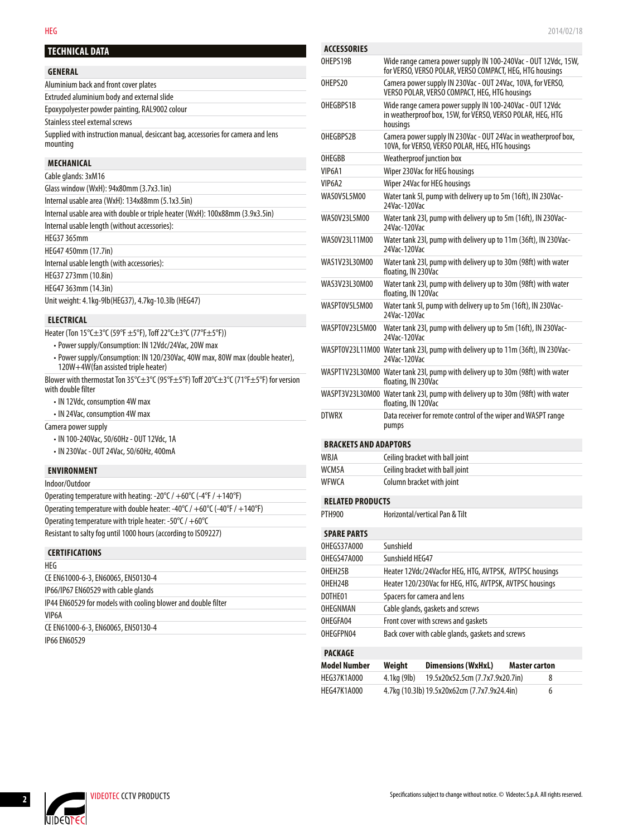### **GENERAL**

| Aluminium back and front cover plates                                                        |  |
|----------------------------------------------------------------------------------------------|--|
| Extruded aluminium body and external slide                                                   |  |
| Epoxypolyester powder painting, RAL9002 colour                                               |  |
| Stainless steel external screws                                                              |  |
| Supplied with instruction manual, desiccant bag, accessories for camera and lens<br>mounting |  |

#### **MECHANICAL**

| Cable glands: 3xM16                                                           |
|-------------------------------------------------------------------------------|
| Glass window (WxH): 94x80mm (3.7x3.1in)                                       |
| Internal usable area (WxH): 134x88mm (5.1x3.5in)                              |
| Internal usable area with double or triple heater (WxH): 100x88mm (3.9x3.5in) |
| Internal usable length (without accessories):                                 |
| HEG37 365mm                                                                   |
| HEG47 450mm (17.7in)                                                          |
| Internal usable length (with accessories):                                    |
| HEG37 273mm (10.8in)                                                          |
| HEG47 363mm (14.3in)                                                          |
| Unit weight: 4.1kg-9lb(HEG37), 4.7kg-10.3lb (HEG47)                           |

#### **ELECTRICAL**

| Heater (Ton 15°C±3°C (59°F ±5°F), Toff 22°C±3°C (77°F±5°F)) |  |
|-------------------------------------------------------------|--|
|-------------------------------------------------------------|--|

- Power supply/Consumption: IN 12Vdc/24Vac, 20W max
- Power supply/Consumption: IN 120/230Vac, 40W max, 80W max (double heater), 120W+4W(fan assisted triple heater)

Blower with thermostat Ton 35°C±3°C (95°F±5°F) Toff 20°C±3°C (71°F±5°F) for version with double filter

- IN 12Vdc, consumption 4W max
- IN 24Vac, consumption 4W max

Camera power supply

- IN 100-240Vac, 50/60Hz OUT 12Vdc, 1A
- IN 230Vac OUT 24Vac, 50/60Hz, 400mA

#### **ENVIRONMENT**

| Operating temperature with heating: $-20^{\circ}C / +60^{\circ}C$ ( $-4^{\circ}F / +140^{\circ}F$ )              |  |
|------------------------------------------------------------------------------------------------------------------|--|
| Operating temperature with double heater: -40 $\degree$ C / +60 $\degree$ C (-40 $\degree$ F / +140 $\degree$ F) |  |
| Operating temperature with triple heater: -50 $\degree$ C / +60 $\degree$ C                                      |  |
| Resistant to salty fog until 1000 hours (according to ISO9227)                                                   |  |

# **CERTIFICATIONS**

| HEG                                                           |  |
|---------------------------------------------------------------|--|
| CE EN61000-6-3, EN60065, EN50130-4                            |  |
| IP66/IP67 EN60529 with cable glands                           |  |
| IP44 EN60529 for models with cooling blower and double filter |  |
| VIP6A                                                         |  |
| CE EN61000-6-3, EN60065, EN50130-4                            |  |
| <b>IP66 EN60529</b>                                           |  |

| <b>ACCESSORIES</b>              |                                                                                                                                    |  |  |  |
|---------------------------------|------------------------------------------------------------------------------------------------------------------------------------|--|--|--|
| OHEPS19B                        | Wide range camera power supply IN 100-240Vac - OUT 12Vdc, 15W,<br>for VERSO, VERSO POLAR, VERSO COMPACT, HEG, HTG housings         |  |  |  |
| OHEPS20                         | Camera power supply IN 230Vac - OUT 24Vac, 10VA, for VERSO,<br>VERSO POLAR, VERSO COMPACT, HEG, HTG housings                       |  |  |  |
| OHEGBPS1B                       | Wide range camera power supply IN 100-240Vac - OUT 12Vdc<br>in weatherproof box, 15W, for VERSO, VERSO POLAR, HEG, HTG<br>housinas |  |  |  |
| OHEGBPS2B                       | Camera power supply IN 230Vac - OUT 24Vac in weatherproof box,<br>10VA, for VERSO, VERSO POLAR, HEG, HTG housings                  |  |  |  |
| OHEGBB                          | Weatherproof junction box                                                                                                          |  |  |  |
| VIP6A1                          | Wiper 230Vac for HEG housings                                                                                                      |  |  |  |
| VIP <sub>6</sub> A <sub>2</sub> | Wiper 24Vac for HEG housings                                                                                                       |  |  |  |
| WAS0V5L5M00                     | Water tank 5l, pump with delivery up to 5m (16ft), IN 230Vac-<br>24Vac-120Vac                                                      |  |  |  |
| WAS0V23L5M00                    | Water tank 23l, pump with delivery up to 5m (16ft), IN 230Vac-<br>24Vac-120Vac                                                     |  |  |  |
| WAS0V23L11M00                   | Water tank 23l, pump with delivery up to 11m (36ft), IN 230Vac-<br>24Vac-120Vac                                                    |  |  |  |
| WAS1V23L30M00                   | Water tank 23I, pump with delivery up to 30m (98ft) with water<br>floating, IN 230Vac                                              |  |  |  |
| WAS3V23L30M00                   | Water tank 231, pump with delivery up to 30m (98ft) with water<br>floating, IN 120Vac                                              |  |  |  |
| WASPT0V5L5M00                   | Water tank 5I, pump with delivery up to 5m (16ft), IN 230Vac-<br>24Vac-120Vac                                                      |  |  |  |
| WASPT0V23L5M00                  | Water tank 23l, pump with delivery up to 5m (16ft), IN 230Vac-<br>24Vac-120Vac                                                     |  |  |  |
|                                 | WASPT0V23L11M00 Water tank 23l, pump with delivery up to 11m (36ft), IN 230Vac-<br>24Vac-120Vac                                    |  |  |  |
|                                 | WASPT1V23L30M00 Water tank 23l, pump with delivery up to 30m (98ft) with water<br>floating, IN 230Vac                              |  |  |  |
|                                 | WASPT3V23L30M00 Water tank 23l, pump with delivery up to 30m (98ft) with water<br>floating, IN 120Vac                              |  |  |  |
| <b>DTWRX</b>                    | Data receiver for remote control of the wiper and WASPT range<br>pumps                                                             |  |  |  |
| <b>BRACKETS AND ADAPTORS</b>    |                                                                                                                                    |  |  |  |
| WBJA                            | Ceiling bracket with ball joint                                                                                                    |  |  |  |
| WCM5A                           | Ceiling bracket with ball joint                                                                                                    |  |  |  |
| WFWCA                           | Column bracket with joint                                                                                                          |  |  |  |
| <b>RELATED PRODUCTS</b>         |                                                                                                                                    |  |  |  |
| <b>PTH900</b>                   | Horizontal/vertical Pan & Tilt                                                                                                     |  |  |  |
| <b>SPARE PARTS</b>              |                                                                                                                                    |  |  |  |
| OHEGS37A000                     | Sunshield                                                                                                                          |  |  |  |
| OHEGS47A000                     | Sunshield HEG47                                                                                                                    |  |  |  |
| OHEH25B                         | Heater 12Vdc/24Vacfor HEG, HTG, AVTPSK, AVTPSC housings                                                                            |  |  |  |
| OHEH24B                         | Heater 120/230Vac for HEG. HTG. AVTPSK. AVTPSC housings                                                                            |  |  |  |

| DOTHE01   | Spacers for camera and lens                      |
|-----------|--------------------------------------------------|
| OHEGNMAN  | Cable glands, gaskets and screws                 |
| OHEGFA04  | Front cover with screws and gaskets              |
| OHEGFPN04 | Back cover with cable glands, gaskets and screws |

# **PACKAGE**

| <b>Model Number</b> | Weiaht      | <b>Dimensions (WxHxL)</b>                    | <b>Master carton</b> |   |
|---------------------|-------------|----------------------------------------------|----------------------|---|
| HEG37K1A000         | 4.1kg (9lb) | 19.5x20x52.5cm (7.7x7.9x20.7in)              |                      | 8 |
| <b>HEG47K1A000</b>  |             | 4.7kg (10.3lb) 19.5x20x62cm (7.7x7.9x24.4in) |                      | 6 |



**UIDEDTEC**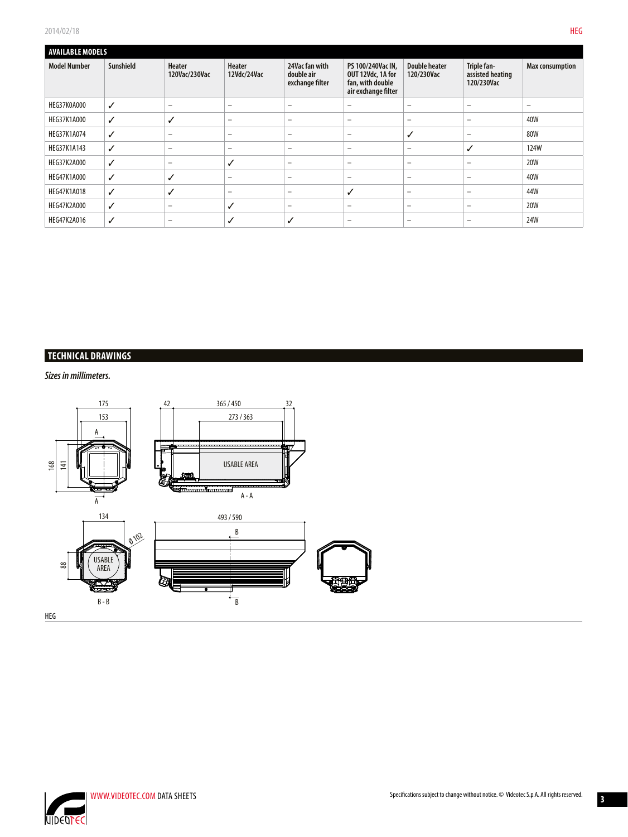| <b>AVAILABLE MODELS</b> |           |                                |                          |                                                 |                                                                                   |                                    |                                               |                          |
|-------------------------|-----------|--------------------------------|--------------------------|-------------------------------------------------|-----------------------------------------------------------------------------------|------------------------------------|-----------------------------------------------|--------------------------|
| <b>Model Number</b>     | Sunshield | <b>Heater</b><br>120Vac/230Vac | Heater<br>12Vdc/24Vac    | 24Vac fan with<br>double air<br>exchange filter | PS 100/240Vac IN.<br>OUT 12Vdc, 1A for<br>fan, with double<br>air exchange filter | <b>Double heater</b><br>120/230Vac | Triple fan-<br>assisted heating<br>120/230Vac | Max consumption          |
| HEG37K0A000             | ✓         | $\overline{\phantom{0}}$       | $\overline{\phantom{m}}$ | $\overline{\phantom{0}}$                        | -                                                                                 | $\overline{\phantom{0}}$           | $\overline{\phantom{0}}$                      | $\overline{\phantom{0}}$ |
| <b>HEG37K1A000</b>      | ✓         | ✓                              | $\qquad \qquad -$        | $\qquad \qquad =$                               | $\equiv$                                                                          | $\overline{\phantom{m}}$           | $\overline{\phantom{0}}$                      | 40W                      |
| <b>HEG37K1A074</b>      | ✓         | $\overline{\phantom{0}}$       | $\overline{\phantom{0}}$ | $\overline{\phantom{m}}$                        | $\overline{\phantom{0}}$                                                          | $\checkmark$                       | $\overline{\phantom{0}}$                      | 80W                      |
| HEG37K1A143             | ✓         | $\overline{\phantom{0}}$       | $\overline{\phantom{a}}$ | $\overline{\phantom{0}}$                        | $\overline{\phantom{0}}$                                                          | $\overline{\phantom{m}}$           | ✓                                             | <b>124W</b>              |
| <b>HEG37K2A000</b>      | ✓         | $\overline{\phantom{0}}$       | ✓                        | $\overline{\phantom{m}}$                        | $\overline{\phantom{0}}$                                                          | $\overline{\phantom{m}}$           | $\overline{\phantom{0}}$                      | 20W                      |
| <b>HEG47K1A000</b>      | ✓         | ✓                              | $\overline{\phantom{m}}$ | $\overline{\phantom{0}}$                        | $\equiv$                                                                          | $\overline{\phantom{0}}$           | $\qquad \qquad \qquad$                        | 40W                      |
| <b>HEG47K1A018</b>      | ✓         | ✓                              | $\overline{\phantom{0}}$ | $\overline{\phantom{0}}$                        | ✓                                                                                 | $\qquad \qquad -$                  | ۰                                             | 44W                      |
| <b>HEG47K2A000</b>      | ✓         | $\qquad \qquad$                | ✓                        | $\qquad \qquad =$                               | $\equiv$                                                                          | $\qquad \qquad -$                  | -                                             | <b>20W</b>               |
| <b>HEG47K2A016</b>      | ✓         | $\overline{\phantom{0}}$       | ✓                        | ✓                                               | -                                                                                 | $\overline{\phantom{0}}$           | $\overline{\phantom{0}}$                      | 24W                      |

# **TECHNICAL DRAWINGS**

*Sizes in millimeters.*





**3**